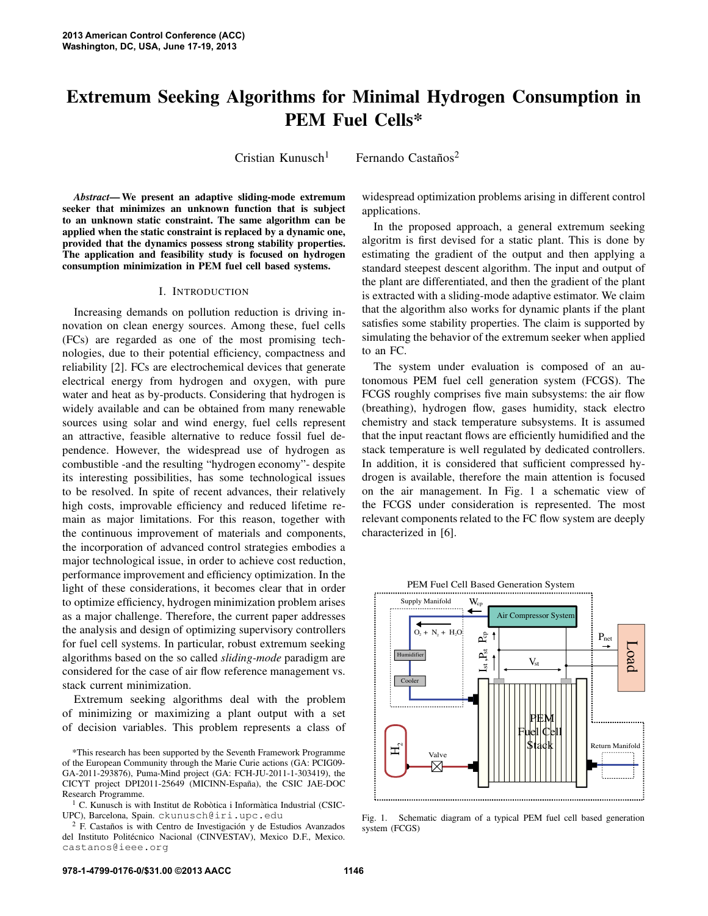# **Extremum Seeking Algorithms for Minimal Hydrogen Consumption in PEM Fuel Cells\***

Cristian Kunusch

 $1$  Fernando Castaños<sup>2</sup>

*Abstract***— We present an adaptive sliding-mode extremum seeker that minimizes an unknown function that is subject to an unknown static constraint. The same algorithm can be applied when the static constraint is replaced by a dynamic one, provided that the dynamics possess strong stability properties. The application and feasibility study is focused on hydrogen consumption minimization in PEM fuel cell based systems.**

#### I. INTRODUCTION

Increasing demands on pollution reduction is driving innovation on clean energy sources. Among these, fuel cells (FCs) are regarded as one of the most promising technologies, due to their potential efficiency, compactness and reliability [2]. FCs are electrochemical devices that generate electrical energy from hydrogen and oxygen, with pure water and heat as by-products. Considering that hydrogen is widely available and can be obtained from many renewable sources using solar and wind energy, fuel cells represent an attractive, feasible alternative to reduce fossil fuel dependence. However, the widespread use of hydrogen as combustible -and the resulting "hydrogen economy"- despite its interesting possibilities, has some technological issues to be resolved. In spite of recent advances, their relatively high costs, improvable efficiency and reduced lifetime remain as major limitations. For this reason, together with the continuous improvement of materials and components, the incorporation of advanced control strategies embodies a major technological issue, in order to achieve cost reduction, performance improvement and efficiency optimization. In the light of these considerations, it becomes clear that in order to optimize efficiency, hydrogen minimization problem arises as a major challenge. Therefore, the current paper addresses the analysis and design of optimizing supervisory controllers for fuel cell systems. In particular, robust extremum seeking algorithms based on the so called *sliding-mode* paradigm are considered for the case of air flow reference management vs. stack current minimization.

Extremum seeking algorithms deal with the problem of minimizing or maximizing a plant output with a set of decision variables. This problem represents a class of widespread optimization problems arising in different control applications.

In the proposed approach, a general extremum seeking algoritm is first devised for a static plant. This is done by estimating the gradient of the output and then applying a standard steepest descent algorithm. The input and output of the plant are differentiated, and then the gradient of the plant is extracted with a sliding-mode adaptive estimator. We claim that the algorithm also works for dynamic plants if the plant satisfies some stability properties. The claim is supported by simulating the behavior of the extremum seeker when applied to an FC.

The system under evaluation is composed of an autonomous PEM fuel cell generation system (FCGS). The FCGS roughly comprises five main subsystems: the air flow (breathing), hydrogen flow, gases humidity, stack electro chemistry and stack temperature subsystems. It is assumed that the input reactant flows are efficiently humidified and the stack temperature is well regulated by dedicated controllers. In addition, it is considered that sufficient compressed hydrogen is available, therefore the main attention is focused on the air management. In Fig. 1 a schematic view of the FCGS under consideration is represented. The most relevant components related to the FC flow system are deeply characterized in [6].



PEM Fuel Cell Based Generation System

Fig. 1. Schematic diagram of a typical PEM fuel cell based generation system (FCGS)

<sup>\*</sup>This research has been supported by the Seventh Framework Programme of the European Community through the Marie Curie actions (GA: PCIG09- GA-2011-293876), Puma-Mind project (GA: FCH-JU-2011-1-303419), the CICYT project DPI2011-25649 (MICINN-España), the CSIC JAE-DOC Research Programme.

 $1$  C. Kunusch is with Institut de Robòtica i Informàtica Industrial (CSIC-UPC), Barcelona, Spain. ckunusch@iri.upc.edu

 $2$  F. Castaños is with Centro de Investigación y de Estudios Avanzados del Instituto Politécnico Nacional (CINVESTAV), Mexico D.F., Mexico. castanos@ieee.org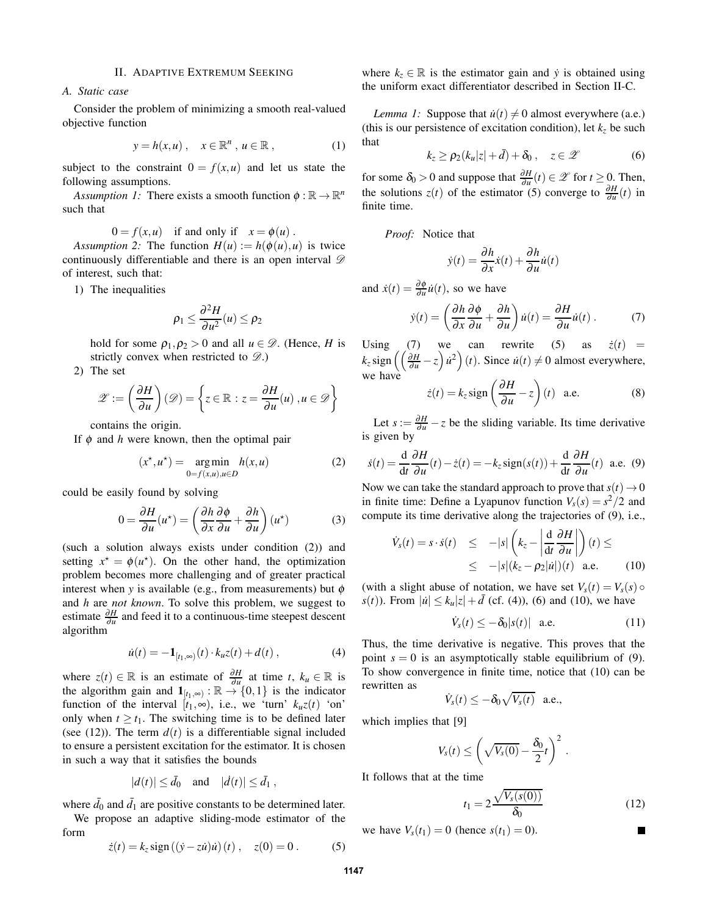#### II. ADAPTIVE EXTREMUM SEEKING

*A. Static case*

Consider the problem of minimizing a smooth real-valued objective function

$$
y = h(x, u) , \quad x \in \mathbb{R}^n , u \in \mathbb{R} , \qquad (1)
$$

subject to the constraint  $0 = f(x, u)$  and let us state the following assumptions.

*Assumption 1:* There exists a smooth function  $\phi : \mathbb{R} \to \mathbb{R}^n$ such that

$$
0 = f(x, u)
$$
 if and only if  $x = \phi(u)$ .

*Assumption 2:* The function  $H(u) := h(\phi(u), u)$  is twice continuously differentiable and there is an open interval  $\mathscr D$ of interest, such that:

1) The inequalities

$$
\rho_1 \leq \frac{\partial^2 H}{\partial u^2}(u) \leq \rho_2
$$

hold for some  $\rho_1, \rho_2 > 0$  and all  $u \in \mathcal{D}$ . (Hence, *H* is strictly convex when restricted to  $\mathscr{D}$ .)

2) The set

$$
\mathscr{Z} := \left(\frac{\partial H}{\partial u}\right)(\mathscr{D}) = \left\{z \in \mathbb{R} : z = \frac{\partial H}{\partial u}(u), u \in \mathscr{D}\right\}
$$

contains the origin.

If  $\phi$  and *h* were known, then the optimal pair

$$
(x^*, u^*) = \underset{0=f(x,u), u \in D}{\text{arg min}} h(x, u)
$$
 (2)

could be easily found by solving

$$
0 = \frac{\partial H}{\partial u}(u^*) = \left(\frac{\partial h}{\partial x}\frac{\partial \phi}{\partial u} + \frac{\partial h}{\partial u}\right)(u^*)
$$
(3)

(such a solution always exists under condition (2)) and setting  $x^* = \phi(u^*)$ . On the other hand, the optimization problem becomes more challenging and of greater practical interest when *y* is available (e.g., from measurements) but  $\phi$ and *h* are *not known*. To solve this problem, we suggest to estimate  $\frac{\partial H}{\partial u}$  and feed it to a continuous-time steepest descent algorithm

$$
\dot{u}(t) = -\mathbf{1}_{[t_1,\infty)}(t) \cdot k_u z(t) + d(t) , \qquad (4)
$$

where  $z(t) \in \mathbb{R}$  is an estimate of  $\frac{\partial H}{\partial u}$  at time *t*,  $k_u \in \mathbb{R}$  is the algorithm gain and  $\mathbf{1}_{[t_1,\infty)}$ :  $\mathbb{R} \to \{0,1\}$  is the indicator function of the interval  $[t_1, \infty)$ , i.e., we 'turn'  $k_u z(t)$  'on' only when  $t \geq t_1$ . The switching time is to be defined later (see  $(12)$ ). The term  $d(t)$  is a differentiable signal included to ensure a persistent excitation for the estimator. It is chosen in such a way that it satisfies the bounds

$$
|d(t)| \le \bar{d}_0 \quad \text{and} \quad |d(t)| \le \bar{d}_1,
$$

where  $\bar{d}_0$  and  $\bar{d}_1$  are positive constants to be determined later.

We propose an adaptive sliding-mode estimator of the form

$$
\dot{z}(t) = k_z \text{sign}((\dot{y} - z\dot{u})\dot{u})(t) , \quad z(0) = 0 . \tag{5}
$$

where  $k_z \in \mathbb{R}$  is the estimator gain and *y* is obtained using the uniform exact differentiator described in Section II-C.

*Lemma 1:* Suppose that  $\dot{u}(t) \neq 0$  almost everywhere (a.e.) (this is our persistence of excitation condition), let  $k<sub>z</sub>$  be such that

$$
k_z \ge \rho_2(k_u|z| + \bar{d}) + \delta_0 , \quad z \in \mathscr{Z} \tag{6}
$$

for some  $\delta_0 > 0$  and suppose that  $\frac{\partial H}{\partial u}(t) \in \mathscr{Z}$  for  $t \geq 0$ . Then, the solutions  $z(t)$  of the estimator (5) converge to  $\frac{\partial H}{\partial u}(t)$  in finite time.

*Proof:* Notice that

$$
\dot{y}(t) = \frac{\partial h}{\partial x}\dot{x}(t) + \frac{\partial h}{\partial u}\dot{u}(t)
$$

and  $\dot{x}(t) = \frac{\partial \phi}{\partial u}$  $\frac{\partial \varphi}{\partial u}\dot{u}(t)$ , so we have

$$
\dot{y}(t) = \left(\frac{\partial h}{\partial x}\frac{\partial \phi}{\partial u} + \frac{\partial h}{\partial u}\right)\dot{u}(t) = \frac{\partial H}{\partial u}\dot{u}(t) \,. \tag{7}
$$

Using (7) we can rewrite (5) as  $\dot{z}(t)$  =  $k_z$  sign  $\left(\left(\frac{\partial H}{\partial u} - z\right) \dot{u}^2\right)(t)$ . Since  $\dot{u}(t) \neq 0$  almost everywhere, we have  $\dot{z}(t) = k_z \text{sign}\left(\frac{\partial H}{\partial x} - z\right)$ 

$$
\dot{z}(t) = k_z \operatorname{sign}\left(\frac{\partial H}{\partial u} - z\right)(t) \quad \text{a.e.} \tag{8}
$$

Let  $s := \frac{\partial H}{\partial u} - z$  be the sliding variable. Its time derivative is given by

$$
\dot{s}(t) = \frac{\mathrm{d}}{\mathrm{d}t} \frac{\partial H}{\partial u}(t) - \dot{z}(t) = -k_z \text{sign}(s(t)) + \frac{\mathrm{d}}{\mathrm{d}t} \frac{\partial H}{\partial u}(t) \text{ a.e. (9)}
$$

Now we can take the standard approach to prove that  $s(t) \rightarrow 0$ in finite time: Define a Lyapunov function  $V_s(s) = s^2/2$  and compute its time derivative along the trajectories of (9), i.e.,

$$
\dot{V}_s(t) = s \cdot \dot{s}(t) \le -|s| \left( k_z - \left| \frac{d}{dt} \frac{\partial H}{\partial u} \right| \right) (t) \le
$$
\n
$$
\le -|s| (k_z - \rho_2 |u|) (t) \quad \text{a.e.} \tag{10}
$$

(with a slight abuse of notation, we have set  $V_s(t) = V_s(s) \circ$ *s*(*t*)). From  $|\dot{u}| \le k_u |z| + \bar{d}$  (cf. (4)), (6) and (10), we have

$$
\dot{V}_s(t) \le -\delta_0 |s(t)| \quad \text{a.e.} \tag{11}
$$

Thus, the time derivative is negative. This proves that the point  $s = 0$  is an asymptotically stable equilibrium of (9). To show convergence in finite time, notice that (10) can be rewritten as

$$
\dot{V}_s(t) \leq -\delta_0 \sqrt{V_s(t)} \quad \text{a.e.,}
$$

which implies that [9]

$$
V_s(t) \leq \left(\sqrt{V_s(0)} - \frac{\delta_0}{2}t\right)^2.
$$

It follows that at the time

$$
t_1 = 2 \frac{\sqrt{V_s(s(0))}}{\delta_0} \tag{12}
$$

we have  $V_s(t_1) = 0$  (hence  $s(t_1) = 0$ ).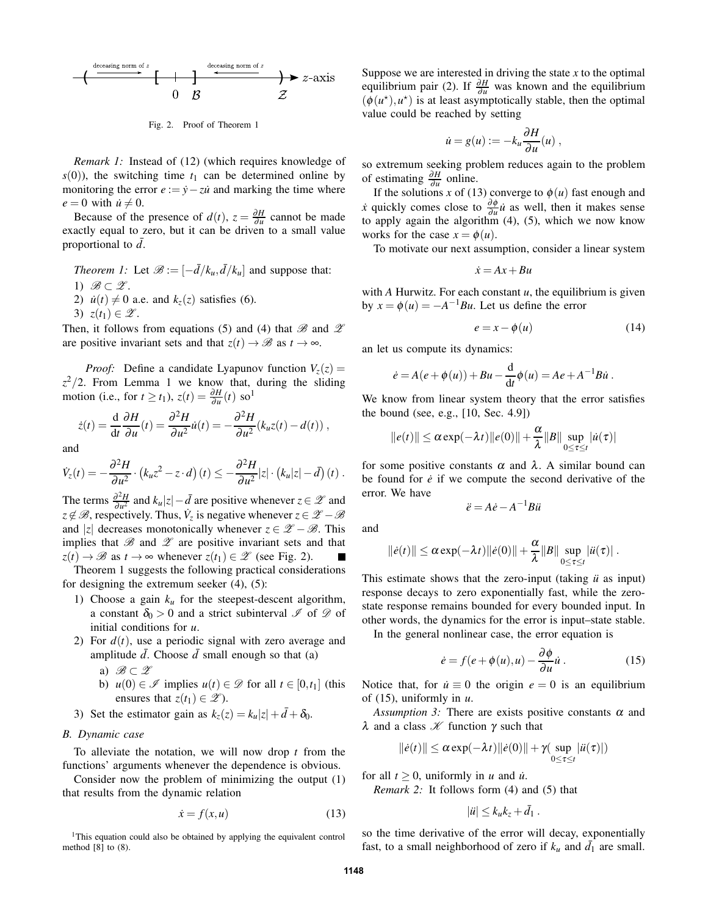

Fig. 2. Proof of Theorem 1

*Remark 1:* Instead of (12) (which requires knowledge of  $s(0)$ , the switching time  $t_1$  can be determined online by monitoring the error  $e := \dot{y} - z\dot{u}$  and marking the time where  $e = 0$  with  $\dot{u} \neq 0$ .

Because of the presence of  $d(t)$ ,  $z = \frac{\partial H}{\partial u}$  cannot be made exactly equal to zero, but it can be driven to a small value proportional to  $\bar{d}$ .

*Theorem 1:* Let  $\mathcal{B} := \left[-\frac{d}{k_u}, \frac{d}{k_u}\right]$  and suppose that: 1)  $\mathscr{B} \subset \mathscr{Z}$ .

- 2)  $\dot{u}(t) \neq 0$  a.e. and  $k_z(z)$  satisfies (6).
- 3)  $z(t_1) \in \mathscr{Z}$ .

Then, it follows from equations (5) and (4) that  $\mathscr B$  and  $\mathscr Z$ are positive invariant sets and that  $z(t) \to \mathcal{B}$  as  $t \to \infty$ .

*Proof:* Define a candidate Lyapunov function  $V_z(z)$  =  $z^2/2$ . From Lemma 1 we know that, during the sliding motion (i.e., for  $t \ge t_1$ ),  $z(t) = \frac{\partial H}{\partial u}(t)$  so<sup>1</sup>

$$
\dot{z}(t) = \frac{\mathrm{d}}{\mathrm{d}t} \frac{\partial H}{\partial u}(t) = \frac{\partial^2 H}{\partial u^2} \dot{u}(t) = -\frac{\partial^2 H}{\partial u^2} (k_u z(t) - d(t)),
$$

and

$$
\dot{V}_z(t) = -\frac{\partial^2 H}{\partial u^2} \cdot (k_u z^2 - z \cdot d)(t) \leq -\frac{\partial^2 H}{\partial u^2} |z| \cdot (k_u |z| - d)(t).
$$

The terms  $\frac{\partial^2 H}{\partial u^2}$  $\frac{\partial^2 H}{\partial u^2}$  and  $k_u |z| - \bar{d}$  are positive whenever  $z \in \mathscr{Z}$  and  $z \notin \mathcal{B}$ , respectively. Thus,  $\dot{V}_z$  is negative whenever  $z \in \mathcal{Z} - \mathcal{B}$ and |*z*| decreases monotonically whenever  $z \in \mathcal{Z} - \mathcal{B}$ . This implies that  $\mathscr B$  and  $\mathscr Z$  are positive invariant sets and that  $z(t) \to \mathscr{B}$  as  $t \to \infty$  whenever  $z(t_1) \in \mathscr{Z}$  (see Fig. 2).

Theorem 1 suggests the following practical considerations for designing the extremum seeker  $(4)$ ,  $(5)$ :

- 1) Choose a gain  $k<sub>u</sub>$  for the steepest-descent algorithm, a constant  $\delta_0 > 0$  and a strict subinterval  $\mathscr I$  of  $\mathscr D$  of initial conditions for *u*.
- 2) For  $d(t)$ , use a periodic signal with zero average and amplitude  $\bar{d}$ . Choose  $\bar{d}$  small enough so that (a)
	- a)  $\mathscr{B} \subset \mathscr{Z}$
	- b)  $u(0) \in \mathcal{I}$  implies  $u(t) \in \mathcal{D}$  for all  $t \in [0, t_1]$  (this ensures that  $z(t_1) \in \mathscr{Z}$ ).
- 3) Set the estimator gain as  $k_z(z) = k_u |z| + \bar{d} + \delta_0$ .

### *B. Dynamic case*

To alleviate the notation, we will now drop *t* from the functions' arguments whenever the dependence is obvious.

Consider now the problem of minimizing the output (1) that results from the dynamic relation

$$
\dot{x} = f(x, u) \tag{13}
$$

<sup>1</sup>This equation could also be obtained by applying the equivalent control method [8] to (8).

Suppose we are interested in driving the state *x* to the optimal equilibrium pair (2). If  $\frac{\partial H}{\partial u}$  was known and the equilibrium  $(\phi(u^*), u^*)$  is at least asymptotically stable, then the optimal value could be reached by setting

$$
\dot{u} = g(u) := -k_u \frac{\partial H}{\partial u}(u) ,
$$

so extremum seeking problem reduces again to the problem of estimating <sup>∂</sup>*<sup>H</sup>* ∂*u* online.

If the solutions *x* of (13) converge to  $\phi(u)$  fast enough and *x*<sup>i</sup> quickly comes close to  $\frac{\partial \phi}{\partial u}$  $\frac{\partial \varphi}{\partial u}$ *u* as well, then it makes sense to apply again the algorithm (4), (5), which we now know works for the case  $x = \phi(u)$ .

To motivate our next assumption, consider a linear system

$$
\dot{x} = Ax + Bu
$$

with *A* Hurwitz. For each constant *u*, the equilibrium is given by  $x = \phi(u) = -A^{-1}Bu$ . Let us define the error

$$
e = x - \phi(u) \tag{14}
$$

an let us compute its dynamics:

$$
\dot{e} = A(e + \phi(u)) + Bu - \frac{d}{dt}\phi(u) = Ae + A^{-1}B\dot{u}.
$$

We know from linear system theory that the error satisfies the bound (see, e.g., [10, Sec. 4.9])

$$
||e(t)|| \leq \alpha \exp(-\lambda t) ||e(0)|| + \frac{\alpha}{\lambda} ||B|| \sup_{0 \leq \tau \leq t} |u(\tau)|
$$

for some positive constants  $\alpha$  and  $\lambda$ . A similar bound can be found for  $\dot{e}$  if we compute the second derivative of the error. We have

$$
\ddot{e} = A\dot{e} - A^{-1}B\ddot{u}
$$

and

$$
\|\dot{e}(t)\| \leq \alpha \exp(-\lambda t) \|\dot{e}(0)\| + \frac{\alpha}{\lambda} \|B\| \sup_{0 \leq \tau \leq t} |\ddot{u}(\tau)|.
$$

This estimate shows that the zero-input (taking  $\ddot{u}$  as input) response decays to zero exponentially fast, while the zerostate response remains bounded for every bounded input. In other words, the dynamics for the error is input–state stable.

In the general nonlinear case, the error equation is

$$
\dot{e} = f(e + \phi(u), u) - \frac{\partial \phi}{\partial u}\dot{u}.
$$
 (15)

Notice that, for  $\dot{u} \equiv 0$  the origin  $e = 0$  is an equilibrium of (15), uniformly in *u*.

*Assumption 3:* There are exists positive constants  $\alpha$  and λ and a class  $\mathcal X$  function  $\gamma$  such that

$$
\|\dot{e}(t)\| \leq \alpha \exp(-\lambda t) \|\dot{e}(0)\| + \gamma \sup_{0 \leq \tau \leq t} |\ddot{u}(\tau)|)
$$

for all  $t \geq 0$ , uniformly in *u* and *u*<sup>*i*</sup>.

*Remark 2:* It follows form (4) and (5) that

$$
|ii| \leq k_u k_z + \bar{d}_1.
$$

so the time derivative of the error will decay, exponentially fast, to a small neighborhood of zero if  $k_u$  and  $\overline{d_1}$  are small.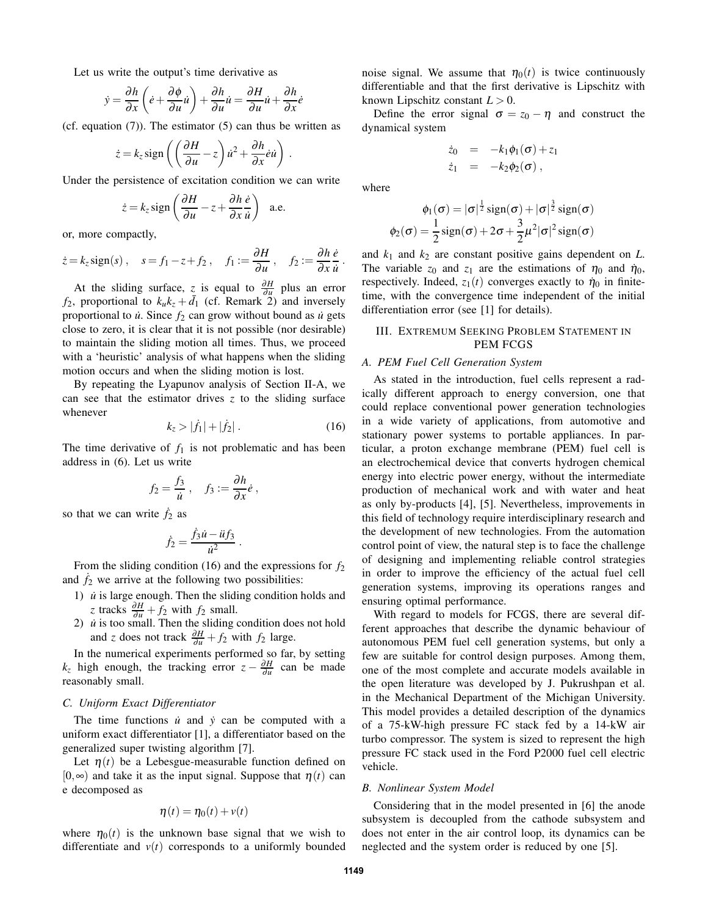Let us write the output's time derivative as

$$
\dot{y} = \frac{\partial h}{\partial x} \left( \dot{e} + \frac{\partial \phi}{\partial u} \dot{u} \right) + \frac{\partial h}{\partial u} \dot{u} = \frac{\partial H}{\partial u} \dot{u} + \frac{\partial h}{\partial x} \dot{e}
$$

(cf. equation  $(7)$ ). The estimator  $(5)$  can thus be written as

$$
\dot{z} = k_z \operatorname{sign}\left(\left(\frac{\partial H}{\partial u} - z\right) \dot{u}^2 + \frac{\partial h}{\partial x} \dot{e} \dot{u}\right)
$$

Under the persistence of excitation condition we can write

$$
\dot{z} = k_z \operatorname{sign}\left(\frac{\partial H}{\partial u} - z + \frac{\partial h}{\partial x} \frac{\dot{e}}{\dot{u}}\right) \quad \text{a.e.}
$$

or, more compactly,

$$
\dot{z} = k_z \operatorname{sign}(s), \quad s = f_1 - z + f_2, \quad f_1 := \frac{\partial H}{\partial u}, \quad f_2 := \frac{\partial h}{\partial x} \frac{\dot{e}}{\dot{u}}.
$$

At the sliding surface, *z* is equal to  $\frac{\partial H}{\partial u}$  plus an error  $f_2$ , proportional to  $k_u k_z + \bar{d}_1$  (cf. Remark 2) and inversely proportional to  $\dot{u}$ . Since  $f_2$  can grow without bound as  $\dot{u}$  gets close to zero, it is clear that it is not possible (nor desirable) to maintain the sliding motion all times. Thus, we proceed with a 'heuristic' analysis of what happens when the sliding motion occurs and when the sliding motion is lost.

By repeating the Lyapunov analysis of Section II-A, we can see that the estimator drives *z* to the sliding surface whenever

$$
k_z > |\dot{f}_1| + |\dot{f}_2| \,. \tag{16}
$$

The time derivative of  $f_1$  is not problematic and has been address in (6). Let us write

$$
f_2=\frac{f_3}{\dot{u}},\quad f_3:=\frac{\partial h}{\partial x}\dot{e},
$$

so that we can write  $\dot{f}_2$  as

$$
\dot{f}_2=\frac{\dot{f}_3\dot{u}-\ddot{u}f_3}{\dot{u}^2}\,.
$$

From the sliding condition (16) and the expressions for *f*<sup>2</sup> and  $\dot{f}_2$  we arrive at the following two possibilities:

- 1)  $\dot{u}$  is large enough. Then the sliding condition holds and *z* tracks  $\frac{\partial H}{\partial u} + f_2$  with  $f_2$  small.
- 2)  $\dot{u}$  is too small. Then the sliding condition does not hold and *z* does not track  $\frac{\partial H}{\partial u} + f_2$  with  $f_2$  large.

In the numerical experiments performed so far, by setting  $k_z$  high enough, the tracking error  $z - \frac{\partial H}{\partial u}$  can be made reasonably small.

# *C. Uniform Exact Differentiator*

The time functions  $\dot{u}$  and  $\dot{y}$  can be computed with a uniform exact differentiator [1], a differentiator based on the generalized super twisting algorithm [7].

Let  $\eta(t)$  be a Lebesgue-measurable function defined on  $[0, \infty)$  and take it as the input signal. Suppose that  $\eta(t)$  can e decomposed as

$$
\eta(t) = \eta_0(t) + v(t)
$$

where  $\eta_0(t)$  is the unknown base signal that we wish to differentiate and  $v(t)$  corresponds to a uniformly bounded noise signal. We assume that  $\eta_0(t)$  is twice continuously differentiable and that the first derivative is Lipschitz with known Lipschitz constant  $L > 0$ .

Define the error signal  $\sigma = z_0 - \eta$  and construct the dynamical system

$$
\dot{z}_0 = -k_1 \phi_1(\sigma) + z_1
$$
  

$$
\dot{z}_1 = -k_2 \phi_2(\sigma),
$$

where

.

$$
\phi_1(\sigma) = |\sigma|^{\frac{1}{2}} \operatorname{sign}(\sigma) + |\sigma|^{\frac{3}{2}} \operatorname{sign}(\sigma)
$$

$$
\phi_2(\sigma) = \frac{1}{2} \operatorname{sign}(\sigma) + 2\sigma + \frac{3}{2}\mu^2 |\sigma|^2 \operatorname{sign}(\sigma)
$$

and  $k_1$  and  $k_2$  are constant positive gains dependent on  $L$ . The variable  $z_0$  and  $z_1$  are the estimations of  $\eta_0$  and  $\dot{\eta}_0$ , respectively. Indeed,  $z_1(t)$  converges exactly to  $\dot{\eta}_0$  in finitetime, with the convergence time independent of the initial differentiation error (see [1] for details).

# III. EXTREMUM SEEKING PROBLEM STATEMENT IN PEM FCGS

### *A. PEM Fuel Cell Generation System*

As stated in the introduction, fuel cells represent a radically different approach to energy conversion, one that could replace conventional power generation technologies in a wide variety of applications, from automotive and stationary power systems to portable appliances. In particular, a proton exchange membrane (PEM) fuel cell is an electrochemical device that converts hydrogen chemical energy into electric power energy, without the intermediate production of mechanical work and with water and heat as only by-products [4], [5]. Nevertheless, improvements in this field of technology require interdisciplinary research and the development of new technologies. From the automation control point of view, the natural step is to face the challenge of designing and implementing reliable control strategies in order to improve the efficiency of the actual fuel cell generation systems, improving its operations ranges and ensuring optimal performance.

With regard to models for FCGS, there are several different approaches that describe the dynamic behaviour of autonomous PEM fuel cell generation systems, but only a few are suitable for control design purposes. Among them, one of the most complete and accurate models available in the open literature was developed by J. Pukrushpan et al. in the Mechanical Department of the Michigan University. This model provides a detailed description of the dynamics of a 75-kW-high pressure FC stack fed by a 14-kW air turbo compressor. The system is sized to represent the high pressure FC stack used in the Ford P2000 fuel cell electric vehicle.

# *B. Nonlinear System Model*

Considering that in the model presented in [6] the anode subsystem is decoupled from the cathode subsystem and does not enter in the air control loop, its dynamics can be neglected and the system order is reduced by one [5].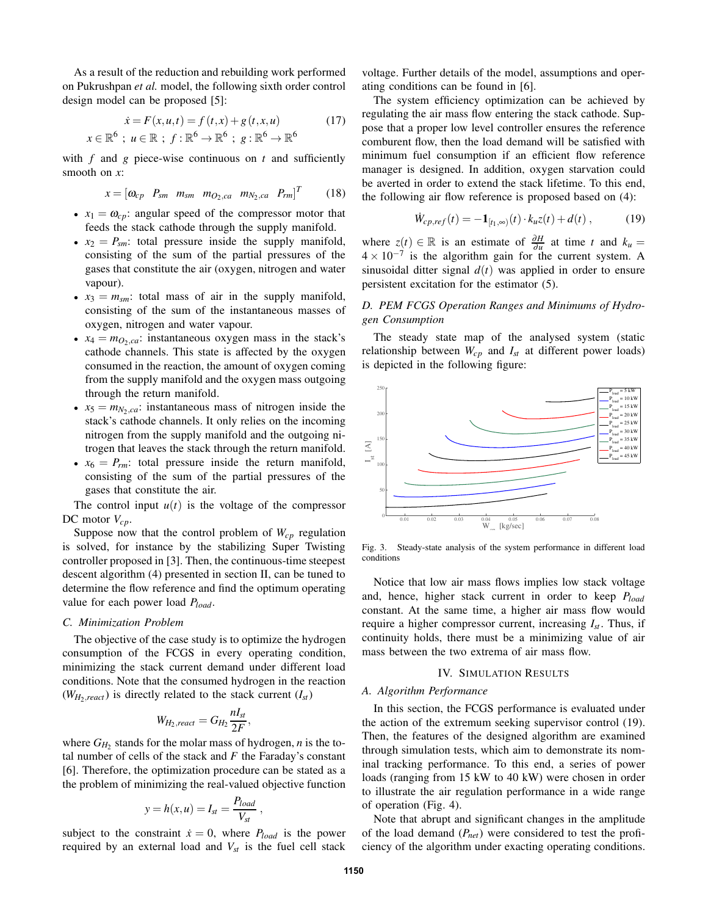As a result of the reduction and rebuilding work performed on Pukrushpan *et al.* model, the following sixth order control design model can be proposed [5]:

$$
\dot{x} = F(x, u, t) = f(t, x) + g(t, x, u)
$$
(17)  

$$
x \in \mathbb{R}^6 \; ; \; u \in \mathbb{R} \; ; \; f : \mathbb{R}^6 \to \mathbb{R}^6 \; ; \; g : \mathbb{R}^6 \to \mathbb{R}^6
$$

with *f* and *g* piece-wise continuous on *t* and sufficiently smooth on *x*:

$$
x = \begin{bmatrix} \omega_{cp} & P_{sm} & m_{sm} & m_{O_2,ca} & m_{N_2,ca} & P_{rm} \end{bmatrix}^T
$$
 (18)

- $x_1 = \omega_{cp}$ : angular speed of the compressor motor that feeds the stack cathode through the supply manifold.
- $x_2 = P_{\text{sm}}$ : total pressure inside the supply manifold, consisting of the sum of the partial pressures of the gases that constitute the air (oxygen, nitrogen and water vapour).
- $x_3 = m_{sm}$ : total mass of air in the supply manifold, consisting of the sum of the instantaneous masses of oxygen, nitrogen and water vapour.
- $x_4 = m_{Q_2,ca}$ : instantaneous oxygen mass in the stack's cathode channels. This state is affected by the oxygen consumed in the reaction, the amount of oxygen coming from the supply manifold and the oxygen mass outgoing through the return manifold.
- $x_5 = m_{N_2,ca}$ : instantaneous mass of nitrogen inside the stack's cathode channels. It only relies on the incoming nitrogen from the supply manifold and the outgoing nitrogen that leaves the stack through the return manifold.
- $x_6 = P_{rm}$ : total pressure inside the return manifold, consisting of the sum of the partial pressures of the gases that constitute the air.

The control input  $u(t)$  is the voltage of the compressor DC motor *Vcp*.

Suppose now that the control problem of  $W_{cp}$  regulation is solved, for instance by the stabilizing Super Twisting controller proposed in [3]. Then, the continuous-time steepest descent algorithm (4) presented in section II, can be tuned to determine the flow reference and find the optimum operating value for each power load *Pload*.

### *C. Minimization Problem*

The objective of the case study is to optimize the hydrogen consumption of the FCGS in every operating condition, minimizing the stack current demand under different load conditions. Note that the consumed hydrogen in the reaction  $(W_H, \text{react})$  is directly related to the stack current  $(I_{st})$ 

$$
W_{H_2,react} = G_{H_2} \frac{nI_{st}}{2F},
$$

where  $G_{H_2}$  stands for the molar mass of hydrogen, *n* is the total number of cells of the stack and *F* the Faraday's constant [6]. Therefore, the optimization procedure can be stated as a the problem of minimizing the real-valued objective function

$$
y = h(x, u) = I_{st} = \frac{P_{load}}{V_{st}} ,
$$

subject to the constraint  $\dot{x} = 0$ , where  $P_{load}$  is the power required by an external load and *Vst* is the fuel cell stack

voltage. Further details of the model, assumptions and operating conditions can be found in [6].

The system efficiency optimization can be achieved by regulating the air mass flow entering the stack cathode. Suppose that a proper low level controller ensures the reference comburent flow, then the load demand will be satisfied with minimum fuel consumption if an efficient flow reference manager is designed. In addition, oxygen starvation could be averted in order to extend the stack lifetime. To this end, the following air flow reference is proposed based on (4):

$$
\dot{W}_{cp,ref}(t) = -\mathbf{1}_{[t_1,\infty)}(t) \cdot k_u z(t) + d(t) , \qquad (19)
$$

where  $z(t) \in \mathbb{R}$  is an estimate of  $\frac{\partial H}{\partial u}$  at time *t* and  $k_u =$  $4 \times 10^{-7}$  is the algorithm gain for the current system. A sinusoidal ditter signal  $d(t)$  was applied in order to ensure persistent excitation for the estimator (5).

# *D. PEM FCGS Operation Ranges and Minimums of Hydrogen Consumption*

The steady state map of the analysed system (static relationship between  $W_{cp}$  and  $I_{st}$  at different power loads) is depicted in the following figure:



Fig. 3. Steady-state analysis of the system performance in different load conditions

Notice that low air mass flows implies low stack voltage and, hence, higher stack current in order to keep *Pload* constant. At the same time, a higher air mass flow would require a higher compressor current, increasing *Ist* . Thus, if continuity holds, there must be a minimizing value of air mass between the two extrema of air mass flow.

#### IV. SIMULATION RESULTS

### *A. Algorithm Performance*

In this section, the FCGS performance is evaluated under the action of the extremum seeking supervisor control (19). Then, the features of the designed algorithm are examined through simulation tests, which aim to demonstrate its nominal tracking performance. To this end, a series of power loads (ranging from 15 kW to 40 kW) were chosen in order to illustrate the air regulation performance in a wide range of operation (Fig. 4).

Note that abrupt and significant changes in the amplitude of the load demand (*Pnet*) were considered to test the proficiency of the algorithm under exacting operating conditions.